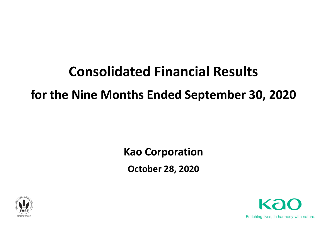# **Consolidated Financial Results for the Nine Months Ended September 30, 2020**

**Kao Corporation October 28, 2020**



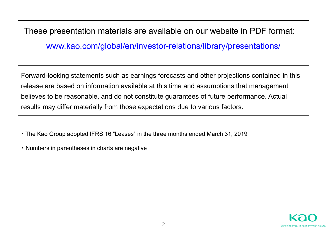These presentation materials are available on our website in PDF format:

www.kao.com/global/en/investor-relations/library/presentations/

Forward-looking statements such as earnings forecasts and other projections contained in this release are based on information available at this time and assumptions that management believes to be reasonable, and do not constitute guarantees of future performance. Actual results may differ materially from those expectations due to various factors.

- ・ The Kao Group adopted IFRS 16 "Leases" in the three months ended March 31, 2019
- ・ Numbers in parentheses in charts are negative

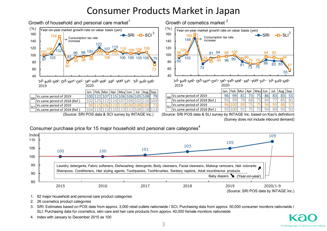## Consumer Products Market in Japan



Consumer purchase price for 15 major household and personal care categories<sup>4</sup>



1. 82 major household and personal care product categories

2. 26 cosmetics product categories

3. SRI: Estimates based on POS data from approx. 3,000 retail outlets nationwide / SCI: Purchasing data from approx. 50,000 consumer monitors nationwide / SLI: Purchasing data for cosmetics, skin care and hair care products from approx. 40,000 female monitors nationwide

4. Index with January to December 2015 as 100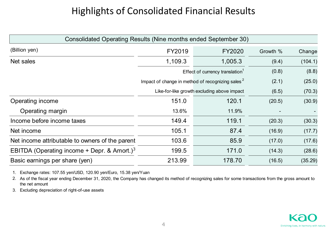# Highlights of Consolidated Financial Results

| Consolidated Operating Results (Nine months ended September 30) |                                                              |                                             |          |         |
|-----------------------------------------------------------------|--------------------------------------------------------------|---------------------------------------------|----------|---------|
| (Billion yen)                                                   | FY2019                                                       | <b>FY2020</b>                               | Growth % | Change  |
| Net sales                                                       | 1,109.3                                                      | 1,005.3                                     | (9.4)    | (104.1) |
|                                                                 |                                                              | Effect of currency translation <sup>1</sup> | (0.8)    | (8.8)   |
|                                                                 | Impact of change in method of recognizing sales <sup>2</sup> |                                             | (2.1)    | (25.0)  |
|                                                                 |                                                              | Like-for-like growth excluding above impact | (6.5)    | (70.3)  |
| Operating income                                                | 151.0                                                        | 120.1                                       | (20.5)   | (30.9)  |
| Operating margin                                                | 13.6%                                                        | 11.9%                                       |          |         |
| Income before income taxes                                      | 149.4                                                        | 119.1                                       | (20.3)   | (30.3)  |
| Net income                                                      | 105.1                                                        | 87.4                                        | (16.9)   | (17.7)  |
| Net income attributable to owners of the parent                 | 103.6                                                        | 85.9                                        | (17.0)   | (17.6)  |
| EBITDA (Operating income + Depr. & Amort.) <sup>3</sup>         | 199.5                                                        | 171.0                                       | (14.3)   | (28.6)  |
| Basic earnings per share (yen)                                  | 213.99                                                       | 178.70                                      | (16.5)   | (35.29) |

1. Exchange rates: 107.55 yen/USD, 120.90 yen/Euro, 15.38 yen/Yuan

2. As of the fiscal year ending December 31, 2020, the Company has changed its method of recognizing sales for some transactions from the gross amount to the net amount

3. Excluding depreciation of right-of-use assets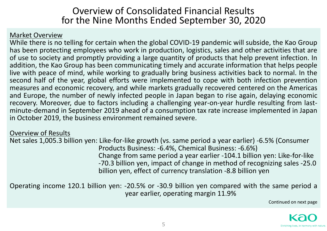### Overview of Consolidated Financial Results for the Nine Months Ended September 30, 2020

#### Market Overview

While there is no telling for certain when the global COVID-19 pandemic will subside, the Kao Group has been protecting employees who work in production, logistics, sales and other activities that are of use to society and promptly providing <sup>a</sup> large quantity of products that help prevent infection. In addition, the Kao Group has been communicating timely and accurate information that helps people live with peace of mind, while working to gradually bring business activities back to normal. In the second half of the year, global efforts were implemented to cope with both infection prevention measures and economic recovery, and while markets gradually recovered centered on the Americas and Europe, the number of newly infected people in Japan began to rise again, delaying economic recovery. Moreover, due to factors including <sup>a</sup> challenging year‐on‐year hurdle resulting from last‐ minute‐demand in September 2019 ahead of <sup>a</sup> consumption tax rate increase implemented in Japan in October 2019, the business environment remained severe.

#### Overview of Results

Net sales 1,005.3 billion yen: Like‐for‐like growth (vs. same period <sup>a</sup> year earlier) ‐6.5% (Consumer Products Business: ‐6.4%, Chemical Business: ‐6.6%) Change from same period <sup>a</sup> year earlier ‐104.1 billion yen: Like‐for‐like ‐70.3 billion yen, impact of change in method of recognizing sales ‐25.0 billion yen, effect of currency translation ‐8.8 billion yen

Operating income 120.1 billion yen: ‐20.5% or ‐30.9 billion yen compared with the same period <sup>a</sup> year earlier, operating margin 11.9%

Continued on next page

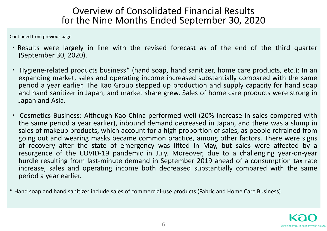## Overview of Consolidated Financial Results for the Nine Months Ended September 30, 2020

Continued from previous page

- ・Results were largely in line with the revised forecast as of the end of the third quarter (September 30, 2020).
- ・ Hygiene‐related products business\* (hand soap, hand sanitizer, home care products, etc.): In an expanding market, sales and operating income increased substantially compared with the same period <sup>a</sup> year earlier. The Kao Group stepped up production and supply capacity for hand soap and hand sanitizer in Japan, and market share grew. Sales of home care products were strong in Japan and Asia.
- ・ Cosmetics Business: Although Kao China performed well (20% increase in sales compared with the same period <sup>a</sup> year earlier), inbound demand decreased in Japan, and there was <sup>a</sup> slump in sales of makeup products, which account for <sup>a</sup> high proportion of sales, as people refrained from going out and wearing masks became common practice, among other factors. There were signs of recovery after the state of emergency was lifted in May, but sales were affected by <sup>a</sup> resurgence of the COVID‐19 pandemic in July. Moreover, due to <sup>a</sup> challenging year‐on‐year hurdle resulting from last-minute demand in September 2019 ahead of a consumption tax rate increase, sales and operating income both decreased substantially compared with the same period <sup>a</sup> year earlier.
- \* Hand soap and hand sanitizer include sales of commercial‐use products (Fabric and Home Care Business).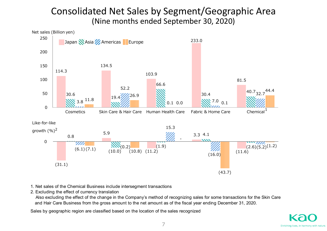## Consolidated Net Sales by Segment/Geographic Area (Nine months ended September 30, 2020)



- 1. Net sales of the Chemical Business include intersegment transactions
- 2. Excluding the effect of currency translation

 Also excluding the effect of the change in the Company's method of recognizing sales for some transactions for the Skin Care and Hair Care Business from the gross amount to the net amount as of the fiscal year ending December 31, 2020.

Sales by geographic region are classified based on the location of the sales recognized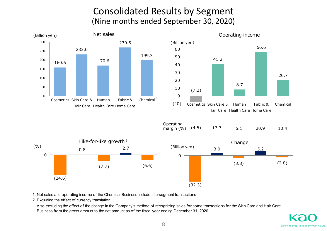## Consolidated Results by Segment (Nine months ended September 30, 2020)



1. Net sales and operating income of the Chemical Business include intersegment transactions

2. Excluding the effect of currency translation

 Also excluding the effect of the change in the Company's method of recognizing sales for some transactions for the Skin Care and Hair Care Business from the gross amount to the net amount as of the fiscal year ending December 31, 2020.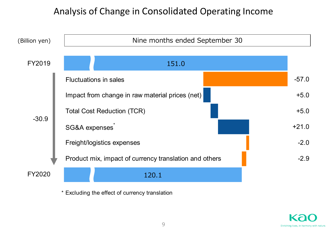## Analysis of Change in Consolidated Operating Income



\* Excluding the effect of currency translation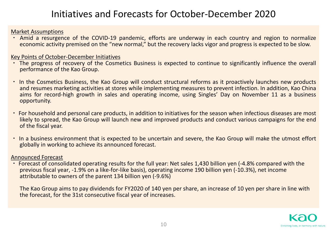# Initiatives and Forecasts for October‐December 2020

#### Market Assumptions

・ Amid <sup>a</sup> resurgence of the COVID‐19 pandemic, efforts are underway in each country and region to normalize economic activity premised on the "new normal," but the recovery lacks vigor and progress is expected to be slow.

#### Key Points of October‐December Initiatives

- ・ The progress of recovery of the Cosmetics Business is expected to continue to significantly influence the overall performance of the Kao Group.
- ・ In the Cosmetics Business, the Kao Group will conduct structural reforms as it proactively launches new products and resumes marketing activities at stores while implementing measures to prevent infection. In addition, Kao China aims for record-high growth in sales and operating income, using Singles' Day on November 11 as a business opportunity.
- ・ For household and personal care products, in addition to initiatives for the season when infectious diseases are most likely to spread, the Kao Group will launch new and improved products and conduct various campaigns for the end of the fiscal year.
- ・ In <sup>a</sup> business environment that is expected to be uncertain and severe, the Kao Group will make the utmost effort globally in working to achieve its announced forecast.

#### Announced Forecast

・ Forecast of consolidated operating results for the full year: Net sales 1,430 billion yen (‐4.8% compared with the previous fiscal year, ‐1.9% on <sup>a</sup> like‐for‐like basis), operating income 190 billion yen (‐10.3%), net income attributable to owners of the parent 134 billion yen (‐9.6%)

The Kao Group aims to pay dividends for FY2020 of 140 yen per share, an increase of 10 yen per share in line with the forecast, for the 31st consecutive fiscal year of increases.